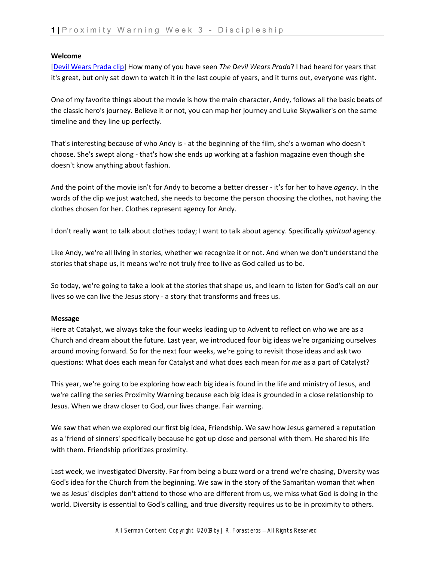## **Welcome**

[Devil Wears Prada clip] How many of you have seen *The Devil Wears Prada*? I had heard for years that it's great, but only sat down to watch it in the last couple of years, and it turns out, everyone was right.

One of my favorite things about the movie is how the main character, Andy, follows all the basic beats of the classic hero's journey. Believe it or not, you can map her journey and Luke Skywalker's on the same timeline and they line up perfectly.

That's interesting because of who Andy is ‐ at the beginning of the film, she's a woman who doesn't choose. She's swept along ‐ that's how she ends up working at a fashion magazine even though she doesn't know anything about fashion.

And the point of the movie isn't for Andy to become a better dresser ‐ it's for her to have *agency*. In the words of the clip we just watched, she needs to become the person choosing the clothes, not having the clothes chosen for her. Clothes represent agency for Andy.

I don't really want to talk about clothes today; I want to talk about agency. Specifically *spiritual* agency.

Like Andy, we're all living in stories, whether we recognize it or not. And when we don't understand the stories that shape us, it means we're not truly free to live as God called us to be.

So today, we're going to take a look at the stories that shape us, and learn to listen for God's call on our lives so we can live the Jesus story ‐ a story that transforms and frees us.

## **Message**

Here at Catalyst, we always take the four weeks leading up to Advent to reflect on who we are as a Church and dream about the future. Last year, we introduced four big ideas we're organizing ourselves around moving forward. So for the next four weeks, we're going to revisit those ideas and ask two questions: What does each mean for Catalyst and what does each mean for *me* as a part of Catalyst?

This year, we're going to be exploring how each big idea is found in the life and ministry of Jesus, and we're calling the series Proximity Warning because each big idea is grounded in a close relationship to Jesus. When we draw closer to God, our lives change. Fair warning.

We saw that when we explored our first big idea, Friendship. We saw how Jesus garnered a reputation as a 'friend of sinners' specifically because he got up close and personal with them. He shared his life with them. Friendship prioritizes proximity.

Last week, we investigated Diversity. Far from being a buzz word or a trend we're chasing, Diversity was God's idea for the Church from the beginning. We saw in the story of the Samaritan woman that when we as Jesus' disciples don't attend to those who are different from us, we miss what God is doing in the world. Diversity is essential to God's calling, and true diversity requires us to be in proximity to others.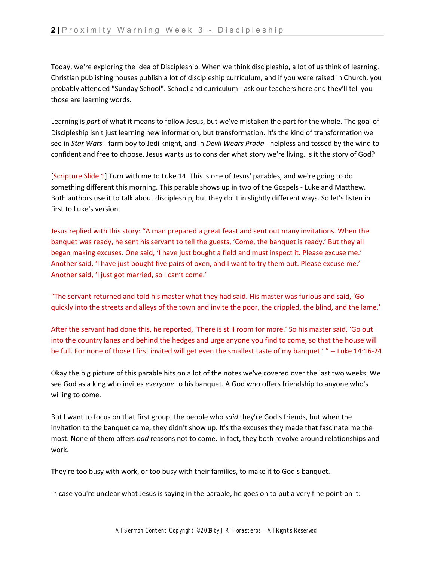Today, we're exploring the idea of Discipleship. When we think discipleship, a lot of us think of learning. Christian publishing houses publish a lot of discipleship curriculum, and if you were raised in Church, you probably attended "Sunday School". School and curriculum ‐ ask our teachers here and they'll tell you those are learning words.

Learning is *part* of what it means to follow Jesus, but we've mistaken the part for the whole. The goal of Discipleship isn't just learning new information, but transformation. It's the kind of transformation we see in *Star Wars* ‐ farm boy to Jedi knight, and in *Devil Wears Prada* ‐ helpless and tossed by the wind to confident and free to choose. Jesus wants us to consider what story we're living. Is it the story of God?

[Scripture Slide 1] Turn with me to Luke 14. This is one of Jesus' parables, and we're going to do something different this morning. This parable shows up in two of the Gospels ‐ Luke and Matthew. Both authors use it to talk about discipleship, but they do it in slightly different ways. So let's listen in first to Luke's version.

Jesus replied with this story: "A man prepared a great feast and sent out many invitations. When the banquet was ready, he sent his servant to tell the guests, 'Come, the banquet is ready.' But they all began making excuses. One said, 'I have just bought a field and must inspect it. Please excuse me.' Another said, 'I have just bought five pairs of oxen, and I want to try them out. Please excuse me.' Another said, 'I just got married, so I can't come.'

"The servant returned and told his master what they had said. His master was furious and said, 'Go quickly into the streets and alleys of the town and invite the poor, the crippled, the blind, and the lame.'

After the servant had done this, he reported, 'There is still room for more.' So his master said, 'Go out into the country lanes and behind the hedges and urge anyone you find to come, so that the house will be full. For none of those I first invited will get even the smallest taste of my banquet.' " ‐‐ Luke 14:16‐24

Okay the big picture of this parable hits on a lot of the notes we've covered over the last two weeks. We see God as a king who invites *everyone* to his banquet. A God who offers friendship to anyone who's willing to come.

But I want to focus on that first group, the people who *said* they're God's friends, but when the invitation to the banquet came, they didn't show up. It's the excuses they made that fascinate me the most. None of them offers *bad* reasons not to come. In fact, they both revolve around relationships and work.

They're too busy with work, or too busy with their families, to make it to God's banquet.

In case you're unclear what Jesus is saying in the parable, he goes on to put a very fine point on it: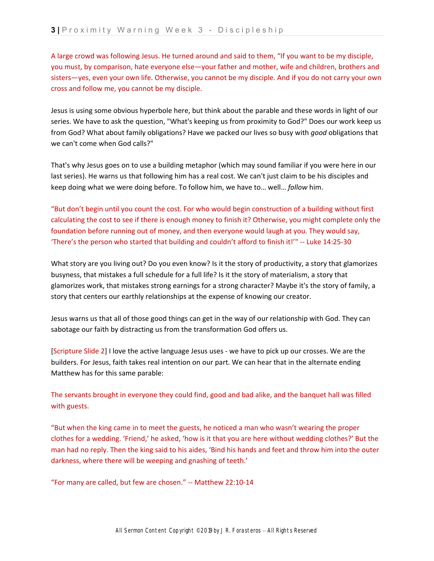A large crowd was following Jesus. He turned around and said to them, "If you want to be my disciple, you must, by comparison, hate everyone else—your father and mother, wife and children, brothers and sisters—yes, even your own life. Otherwise, you cannot be my disciple. And if you do not carry your own cross and follow me, you cannot be my disciple.

Jesus is using some obvious hyperbole here, but think about the parable and these words in light of our series. We have to ask the question, "What's keeping us from proximity to God?" Does our work keep us from God? What about family obligations? Have we packed our lives so busy with *good* obligations that we can't come when God calls?"

That's why Jesus goes on to use a building metaphor (which may sound familiar if you were here in our last series). He warns us that following him has a real cost. We can't just claim to be his disciples and keep doing what we were doing before. To follow him, we have to… well… *follow* him.

"But don't begin until you count the cost. For who would begin construction of a building without first calculating the cost to see if there is enough money to finish it? Otherwise, you might complete only the foundation before running out of money, and then everyone would laugh at you. They would say, 'There's the person who started that building and couldn't afford to finish it!'" ‐‐ Luke 14:25‐30

What story are you living out? Do you even know? Is it the story of productivity, a story that glamorizes busyness, that mistakes a full schedule for a full life? Is it the story of materialism, a story that glamorizes work, that mistakes strong earnings for a strong character? Maybe it's the story of family, a story that centers our earthly relationships at the expense of knowing our creator.

Jesus warns us that all of those good things can get in the way of our relationship with God. They can sabotage our faith by distracting us from the transformation God offers us.

[Scripture Slide 2] I love the active language Jesus uses ‐ we have to pick up our crosses. We are the builders. For Jesus, faith takes real intention on our part. We can hear that in the alternate ending Matthew has for this same parable:

The servants brought in everyone they could find, good and bad alike, and the banquet hall was filled with guests.

"But when the king came in to meet the guests, he noticed a man who wasn't wearing the proper clothes for a wedding. 'Friend,' he asked, 'how is it that you are here without wedding clothes?' But the man had no reply. Then the king said to his aides, 'Bind his hands and feet and throw him into the outer darkness, where there will be weeping and gnashing of teeth.'

"For many are called, but few are chosen." ‐‐ Matthew 22:10‐14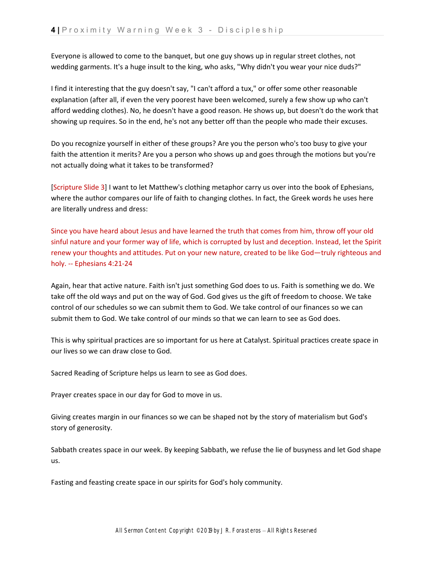Everyone is allowed to come to the banquet, but one guy shows up in regular street clothes, not wedding garments. It's a huge insult to the king, who asks, "Why didn't you wear your nice duds?"

I find it interesting that the guy doesn't say, "I can't afford a tux," or offer some other reasonable explanation (after all, if even the very poorest have been welcomed, surely a few show up who can't afford wedding clothes). No, he doesn't have a good reason. He shows up, but doesn't do the work that showing up requires. So in the end, he's not any better off than the people who made their excuses.

Do you recognize yourself in either of these groups? Are you the person who's too busy to give your faith the attention it merits? Are you a person who shows up and goes through the motions but you're not actually doing what it takes to be transformed?

[Scripture Slide 3] I want to let Matthew's clothing metaphor carry us over into the book of Ephesians, where the author compares our life of faith to changing clothes. In fact, the Greek words he uses here are literally undress and dress:

Since you have heard about Jesus and have learned the truth that comes from him, throw off your old sinful nature and your former way of life, which is corrupted by lust and deception. Instead, let the Spirit renew your thoughts and attitudes. Put on your new nature, created to be like God—truly righteous and holy. ‐‐ Ephesians 4:21‐24

Again, hear that active nature. Faith isn't just something God does to us. Faith is something we do. We take off the old ways and put on the way of God. God gives us the gift of freedom to choose. We take control of our schedules so we can submit them to God. We take control of our finances so we can submit them to God. We take control of our minds so that we can learn to see as God does.

This is why spiritual practices are so important for us here at Catalyst. Spiritual practices create space in our lives so we can draw close to God.

Sacred Reading of Scripture helps us learn to see as God does.

Prayer creates space in our day for God to move in us.

Giving creates margin in our finances so we can be shaped not by the story of materialism but God's story of generosity.

Sabbath creates space in our week. By keeping Sabbath, we refuse the lie of busyness and let God shape us.

Fasting and feasting create space in our spirits for God's holy community.